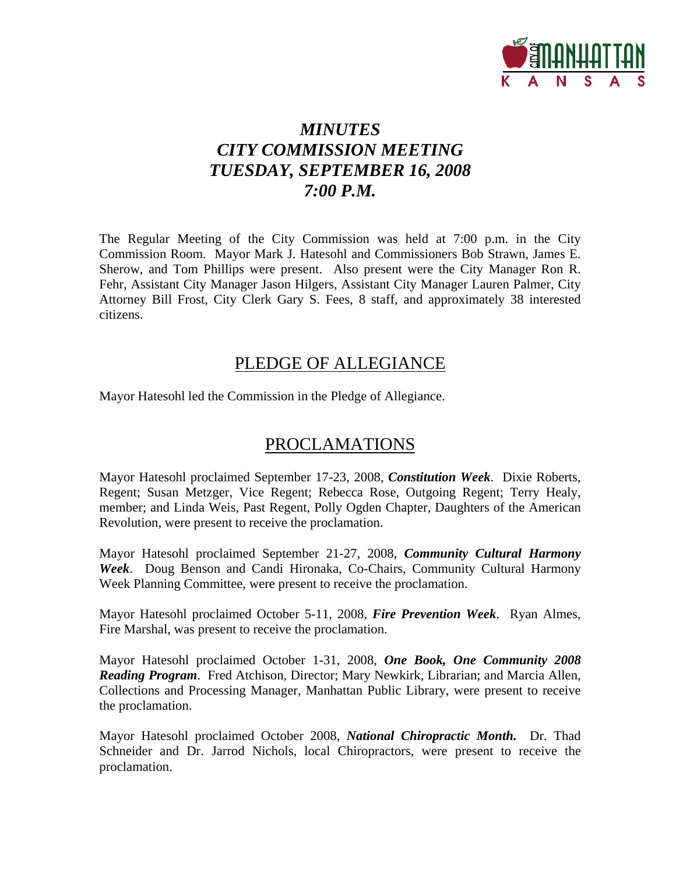

# *MINUTES CITY COMMISSION MEETING TUESDAY, SEPTEMBER 16, 2008 7:00 P.M.*

The Regular Meeting of the City Commission was held at 7:00 p.m. in the City Commission Room. Mayor Mark J. Hatesohl and Commissioners Bob Strawn, James E. Sherow, and Tom Phillips were present. Also present were the City Manager Ron R. Fehr, Assistant City Manager Jason Hilgers, Assistant City Manager Lauren Palmer, City Attorney Bill Frost, City Clerk Gary S. Fees, 8 staff, and approximately 38 interested citizens.

## PLEDGE OF ALLEGIANCE

Mayor Hatesohl led the Commission in the Pledge of Allegiance.

## PROCLAMATIONS

Mayor Hatesohl proclaimed September 17-23, 2008, *Constitution Week*. Dixie Roberts, Regent; Susan Metzger, Vice Regent; Rebecca Rose, Outgoing Regent; Terry Healy, member; and Linda Weis, Past Regent, Polly Ogden Chapter, Daughters of the American Revolution, were present to receive the proclamation.

Mayor Hatesohl proclaimed September 21-27, 2008, *Community Cultural Harmony Week*. Doug Benson and Candi Hironaka, Co-Chairs, Community Cultural Harmony Week Planning Committee, were present to receive the proclamation.

Mayor Hatesohl proclaimed October 5-11, 2008, *Fire Prevention Week*. Ryan Almes, Fire Marshal, was present to receive the proclamation.

Mayor Hatesohl proclaimed October 1-31, 2008, *One Book, One Community 2008 Reading Program*. Fred Atchison, Director; Mary Newkirk, Librarian; and Marcia Allen, Collections and Processing Manager, Manhattan Public Library, were present to receive the proclamation.

Mayor Hatesohl proclaimed October 2008, *National Chiropractic Month.* Dr. Thad Schneider and Dr. Jarrod Nichols, local Chiropractors, were present to receive the proclamation.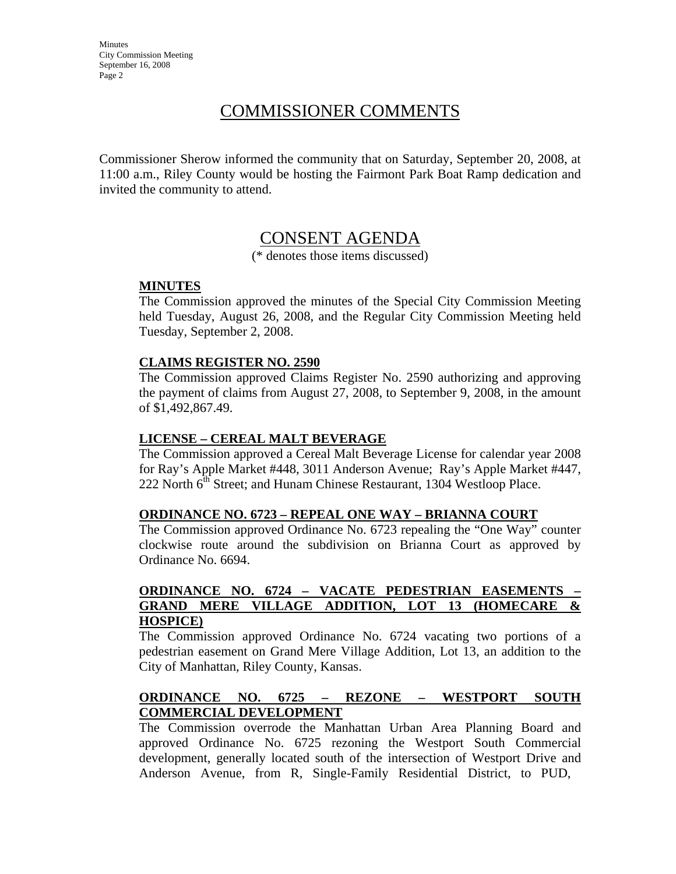**Minutes** City Commission Meeting September 16, 2008 Page 2

# COMMISSIONER COMMENTS

Commissioner Sherow informed the community that on Saturday, September 20, 2008, at 11:00 a.m., Riley County would be hosting the Fairmont Park Boat Ramp dedication and invited the community to attend.

## CONSENT AGENDA

(\* denotes those items discussed)

#### **MINUTES**

The Commission approved the minutes of the Special City Commission Meeting held Tuesday, August 26, 2008, and the Regular City Commission Meeting held Tuesday, September 2, 2008.

#### **CLAIMS REGISTER NO. 2590**

The Commission approved Claims Register No. 2590 authorizing and approving the payment of claims from August 27, 2008, to September 9, 2008, in the amount of \$1,492,867.49.

#### **LICENSE – CEREAL MALT BEVERAGE**

The Commission approved a Cereal Malt Beverage License for calendar year 2008 for Ray's Apple Market #448, 3011 Anderson Avenue; Ray's Apple Market #447, 222 North 6<sup>th</sup> Street; and Hunam Chinese Restaurant, 1304 Westloop Place.

#### **ORDINANCE NO. 6723 – REPEAL ONE WAY – BRIANNA COURT**

The Commission approved Ordinance No. 6723 repealing the "One Way" counter clockwise route around the subdivision on Brianna Court as approved by Ordinance No. 6694.

#### **ORDINANCE NO. 6724 – VACATE PEDESTRIAN EASEMENTS – GRAND MERE VILLAGE ADDITION, LOT 13 (HOMECARE & HOSPICE)**

The Commission approved Ordinance No. 6724 vacating two portions of a pedestrian easement on Grand Mere Village Addition, Lot 13, an addition to the City of Manhattan, Riley County, Kansas.

#### **ORDINANCE NO. 6725 – REZONE – WESTPORT SOUTH COMMERCIAL DEVELOPMENT**

The Commission overrode the Manhattan Urban Area Planning Board and approved Ordinance No. 6725 rezoning the Westport South Commercial development, generally located south of the intersection of Westport Drive and Anderson Avenue, from R, Single-Family Residential District, to PUD,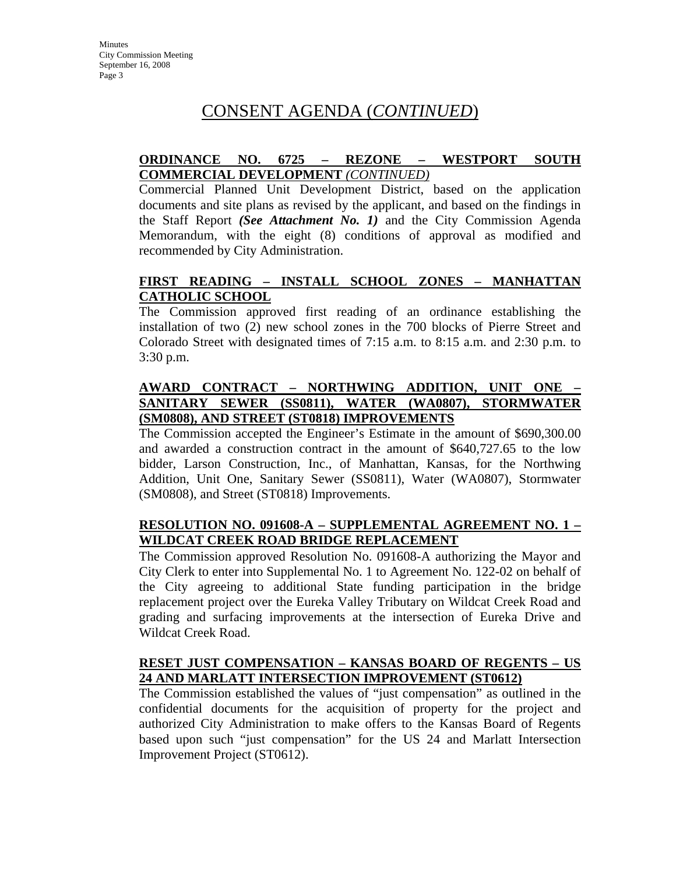# CONSENT AGENDA (*CONTINUED*)

### **ORDINANCE NO. 6725 – REZONE – WESTPORT SOUTH COMMERCIAL DEVELOPMENT** *(CONTINUED)*

Commercial Planned Unit Development District, based on the application documents and site plans as revised by the applicant, and based on the findings in the Staff Report *(See Attachment No. 1)* and the City Commission Agenda Memorandum, with the eight (8) conditions of approval as modified and recommended by City Administration.

#### **FIRST READING – INSTALL SCHOOL ZONES – MANHATTAN CATHOLIC SCHOOL**

The Commission approved first reading of an ordinance establishing the installation of two (2) new school zones in the 700 blocks of Pierre Street and Colorado Street with designated times of 7:15 a.m. to 8:15 a.m. and 2:30 p.m. to 3:30 p.m.

### **AWARD CONTRACT – NORTHWING ADDITION, UNIT ONE – SANITARY SEWER (SS0811), WATER (WA0807), STORMWATER (SM0808), AND STREET (ST0818) IMPROVEMENTS**

The Commission accepted the Engineer's Estimate in the amount of \$690,300.00 and awarded a construction contract in the amount of \$640,727.65 to the low bidder, Larson Construction, Inc., of Manhattan, Kansas, for the Northwing Addition, Unit One, Sanitary Sewer (SS0811), Water (WA0807), Stormwater (SM0808), and Street (ST0818) Improvements.

### **RESOLUTION NO. 091608-A – SUPPLEMENTAL AGREEMENT NO. 1 – WILDCAT CREEK ROAD BRIDGE REPLACEMENT**

The Commission approved Resolution No. 091608-A authorizing the Mayor and City Clerk to enter into Supplemental No. 1 to Agreement No. 122-02 on behalf of the City agreeing to additional State funding participation in the bridge replacement project over the Eureka Valley Tributary on Wildcat Creek Road and grading and surfacing improvements at the intersection of Eureka Drive and Wildcat Creek Road.

### **RESET JUST COMPENSATION – KANSAS BOARD OF REGENTS – US 24 AND MARLATT INTERSECTION IMPROVEMENT (ST0612)**

The Commission established the values of "just compensation" as outlined in the confidential documents for the acquisition of property for the project and authorized City Administration to make offers to the Kansas Board of Regents based upon such "just compensation" for the US 24 and Marlatt Intersection Improvement Project (ST0612).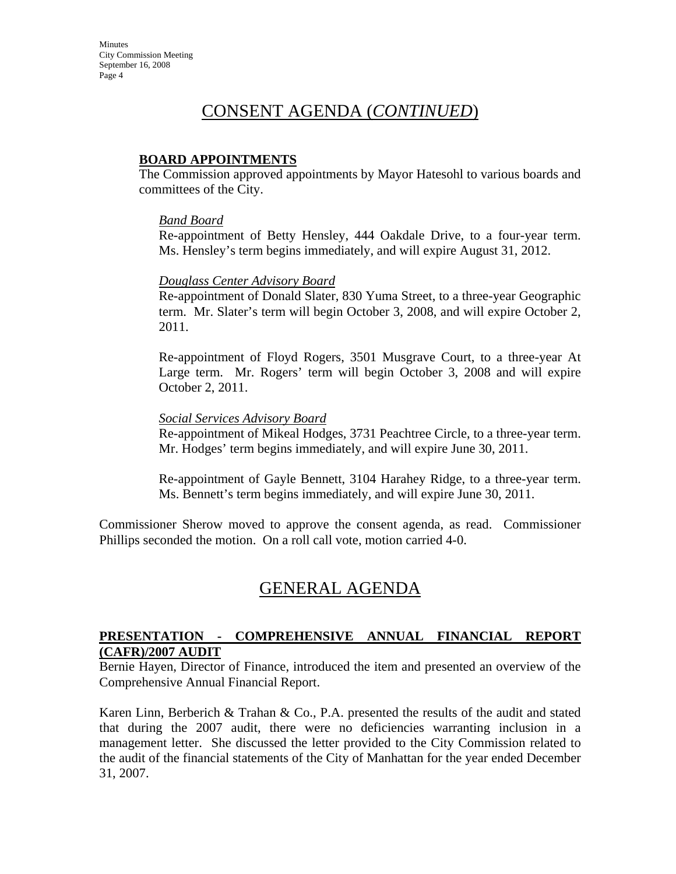# CONSENT AGENDA (*CONTINUED*)

#### **BOARD APPOINTMENTS**

The Commission approved appointments by Mayor Hatesohl to various boards and committees of the City.

#### *Band Board*

Re-appointment of Betty Hensley, 444 Oakdale Drive, to a four-year term. Ms. Hensley's term begins immediately, and will expire August 31, 2012.

#### *Douglass Center Advisory Board*

Re-appointment of Donald Slater, 830 Yuma Street, to a three-year Geographic term. Mr. Slater's term will begin October 3, 2008, and will expire October 2, 2011.

Re-appointment of Floyd Rogers, 3501 Musgrave Court, to a three-year At Large term. Mr. Rogers' term will begin October 3, 2008 and will expire October 2, 2011.

#### *Social Services Advisory Board*

Re-appointment of Mikeal Hodges, 3731 Peachtree Circle, to a three-year term. Mr. Hodges' term begins immediately, and will expire June 30, 2011.

Re-appointment of Gayle Bennett, 3104 Harahey Ridge, to a three-year term. Ms. Bennett's term begins immediately, and will expire June 30, 2011.

Commissioner Sherow moved to approve the consent agenda, as read. Commissioner Phillips seconded the motion. On a roll call vote, motion carried 4-0.

## GENERAL AGENDA

### **PRESENTATION - COMPREHENSIVE ANNUAL FINANCIAL REPORT (CAFR)/2007 AUDIT**

Bernie Hayen, Director of Finance, introduced the item and presented an overview of the Comprehensive Annual Financial Report.

Karen Linn, Berberich & Trahan & Co., P.A. presented the results of the audit and stated that during the 2007 audit, there were no deficiencies warranting inclusion in a management letter. She discussed the letter provided to the City Commission related to the audit of the financial statements of the City of Manhattan for the year ended December 31, 2007.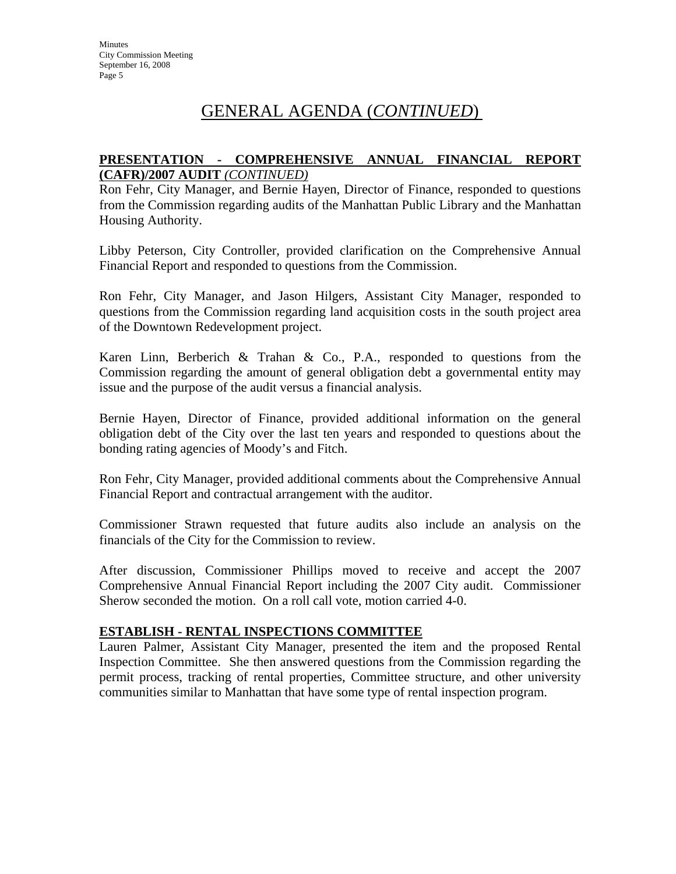# GENERAL AGENDA (*CONTINUED*)

#### **PRESENTATION - COMPREHENSIVE ANNUAL FINANCIAL REPORT (CAFR)/2007 AUDIT** *(CONTINUED)*

Ron Fehr, City Manager, and Bernie Hayen, Director of Finance, responded to questions from the Commission regarding audits of the Manhattan Public Library and the Manhattan Housing Authority.

Libby Peterson, City Controller, provided clarification on the Comprehensive Annual Financial Report and responded to questions from the Commission.

Ron Fehr, City Manager, and Jason Hilgers, Assistant City Manager, responded to questions from the Commission regarding land acquisition costs in the south project area of the Downtown Redevelopment project.

Karen Linn, Berberich & Trahan & Co., P.A., responded to questions from the Commission regarding the amount of general obligation debt a governmental entity may issue and the purpose of the audit versus a financial analysis.

Bernie Hayen, Director of Finance, provided additional information on the general obligation debt of the City over the last ten years and responded to questions about the bonding rating agencies of Moody's and Fitch.

Ron Fehr, City Manager, provided additional comments about the Comprehensive Annual Financial Report and contractual arrangement with the auditor.

Commissioner Strawn requested that future audits also include an analysis on the financials of the City for the Commission to review.

After discussion, Commissioner Phillips moved to receive and accept the 2007 Comprehensive Annual Financial Report including the 2007 City audit. Commissioner Sherow seconded the motion. On a roll call vote, motion carried 4-0.

### **ESTABLISH - RENTAL INSPECTIONS COMMITTEE**

Lauren Palmer, Assistant City Manager, presented the item and the proposed Rental Inspection Committee. She then answered questions from the Commission regarding the permit process, tracking of rental properties, Committee structure, and other university communities similar to Manhattan that have some type of rental inspection program.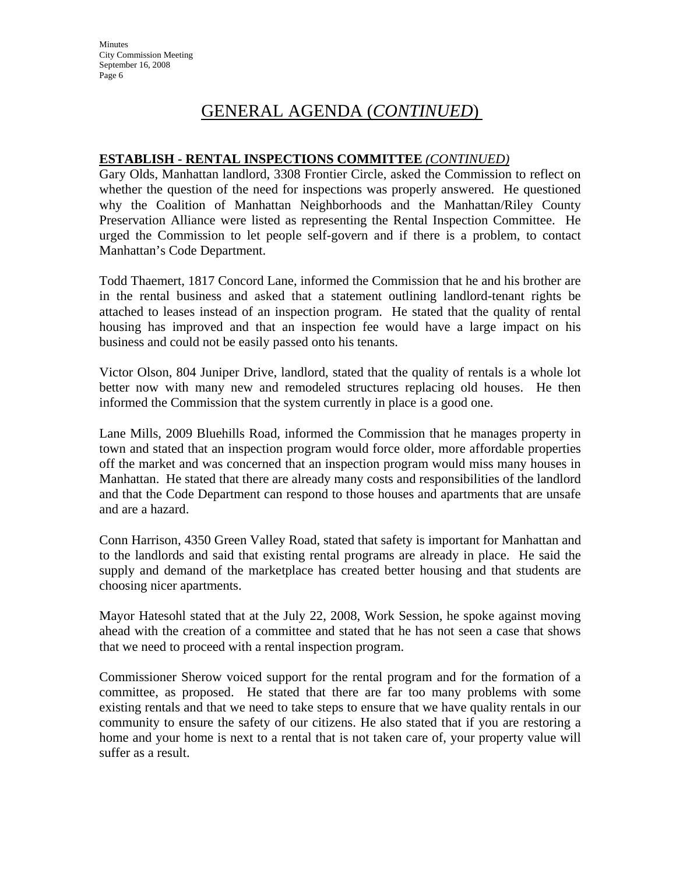# GENERAL AGENDA (*CONTINUED*)

### **ESTABLISH - RENTAL INSPECTIONS COMMITTEE** *(CONTINUED)*

Gary Olds, Manhattan landlord, 3308 Frontier Circle, asked the Commission to reflect on whether the question of the need for inspections was properly answered. He questioned why the Coalition of Manhattan Neighborhoods and the Manhattan/Riley County Preservation Alliance were listed as representing the Rental Inspection Committee. He urged the Commission to let people self-govern and if there is a problem, to contact Manhattan's Code Department.

Todd Thaemert, 1817 Concord Lane, informed the Commission that he and his brother are in the rental business and asked that a statement outlining landlord-tenant rights be attached to leases instead of an inspection program. He stated that the quality of rental housing has improved and that an inspection fee would have a large impact on his business and could not be easily passed onto his tenants.

Victor Olson, 804 Juniper Drive, landlord, stated that the quality of rentals is a whole lot better now with many new and remodeled structures replacing old houses. He then informed the Commission that the system currently in place is a good one.

Lane Mills, 2009 Bluehills Road, informed the Commission that he manages property in town and stated that an inspection program would force older, more affordable properties off the market and was concerned that an inspection program would miss many houses in Manhattan. He stated that there are already many costs and responsibilities of the landlord and that the Code Department can respond to those houses and apartments that are unsafe and are a hazard.

Conn Harrison, 4350 Green Valley Road, stated that safety is important for Manhattan and to the landlords and said that existing rental programs are already in place. He said the supply and demand of the marketplace has created better housing and that students are choosing nicer apartments.

Mayor Hatesohl stated that at the July 22, 2008, Work Session, he spoke against moving ahead with the creation of a committee and stated that he has not seen a case that shows that we need to proceed with a rental inspection program.

Commissioner Sherow voiced support for the rental program and for the formation of a committee, as proposed. He stated that there are far too many problems with some existing rentals and that we need to take steps to ensure that we have quality rentals in our community to ensure the safety of our citizens. He also stated that if you are restoring a home and your home is next to a rental that is not taken care of, your property value will suffer as a result.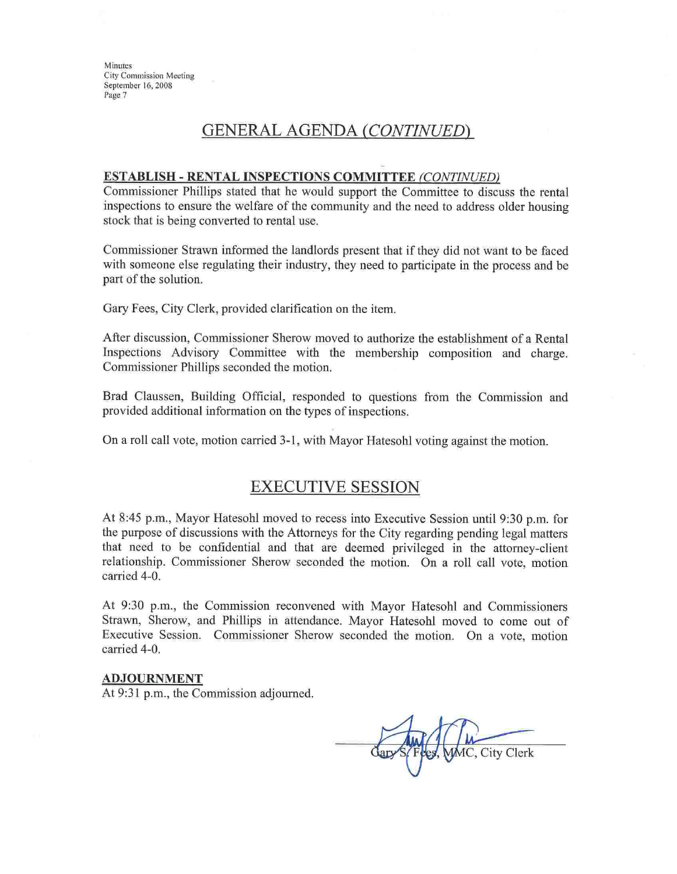Minutes **City Commission Meeting** September 16, 2008 Page 7

## GENERAL AGENDA (CONTINUED)

#### **ESTABLISH - RENTAL INSPECTIONS COMMITTEE (CONTINUED)**

Commissioner Phillips stated that he would support the Committee to discuss the rental inspections to ensure the welfare of the community and the need to address older housing stock that is being converted to rental use.

Commissioner Strawn informed the landlords present that if they did not want to be faced with someone else regulating their industry, they need to participate in the process and be part of the solution.

Gary Fees, City Clerk, provided clarification on the item.

After discussion, Commissioner Sherow moved to authorize the establishment of a Rental Inspections Advisory Committee with the membership composition and charge. Commissioner Phillips seconded the motion.

Brad Claussen, Building Official, responded to questions from the Commission and provided additional information on the types of inspections.

On a roll call vote, motion carried 3-1, with Mayor Hatesohl voting against the motion.

## **EXECUTIVE SESSION**

At 8:45 p.m., Mayor Hatesohl moved to recess into Executive Session until 9:30 p.m. for the purpose of discussions with the Attorneys for the City regarding pending legal matters that need to be confidential and that are deemed privileged in the attorney-client relationship. Commissioner Sherow seconded the motion. On a roll call vote, motion carried 4-0.

At 9:30 p.m., the Commission reconvened with Mayor Hatesohl and Commissioners Strawn, Sherow, and Phillips in attendance. Mayor Hatesohl moved to come out of Executive Session. Commissioner Sherow seconded the motion. On a vote, motion carried 4-0.

#### **ADJOURNMENT**

At 9:31 p.m., the Commission adjourned.

MC, City Clerk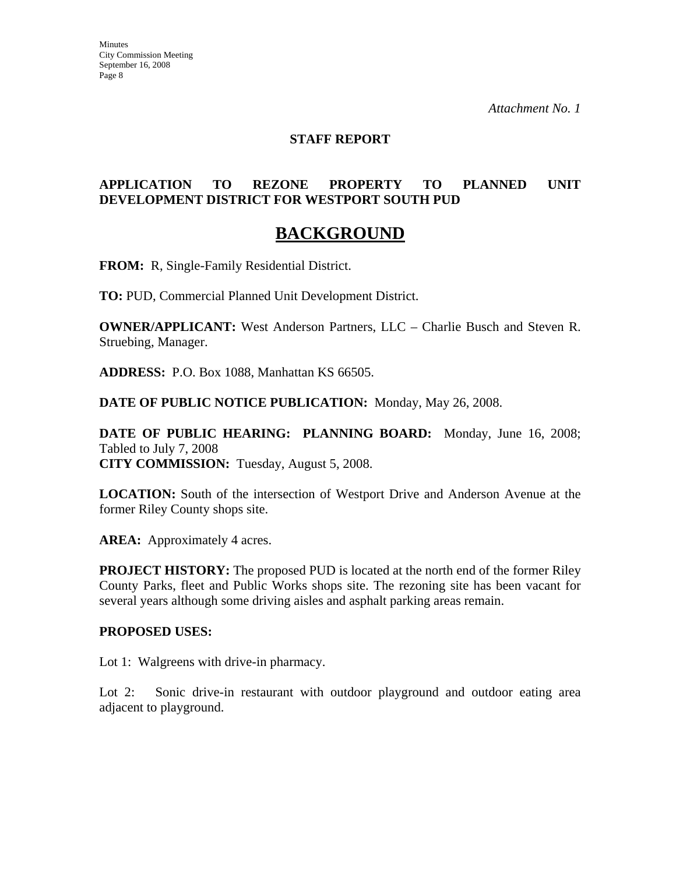#### **STAFF REPORT**

## **APPLICATION TO REZONE PROPERTY TO PLANNED UNIT DEVELOPMENT DISTRICT FOR WESTPORT SOUTH PUD**

## **BACKGROUND**

**FROM:** R, Single-Family Residential District.

**TO:** PUD, Commercial Planned Unit Development District.

**OWNER/APPLICANT:** West Anderson Partners, LLC – Charlie Busch and Steven R. Struebing, Manager.

**ADDRESS:** P.O. Box 1088, Manhattan KS 66505.

**DATE OF PUBLIC NOTICE PUBLICATION:** Monday, May 26, 2008.

**DATE OF PUBLIC HEARING: PLANNING BOARD:** Monday, June 16, 2008; Tabled to July 7, 2008 **CITY COMMISSION:** Tuesday, August 5, 2008.

**LOCATION:** South of the intersection of Westport Drive and Anderson Avenue at the former Riley County shops site.

AREA: Approximately 4 acres.

**PROJECT HISTORY:** The proposed PUD is located at the north end of the former Riley County Parks, fleet and Public Works shops site. The rezoning site has been vacant for several years although some driving aisles and asphalt parking areas remain.

#### **PROPOSED USES:**

Lot 1: Walgreens with drive-in pharmacy.

Lot 2: Sonic drive-in restaurant with outdoor playground and outdoor eating area adjacent to playground.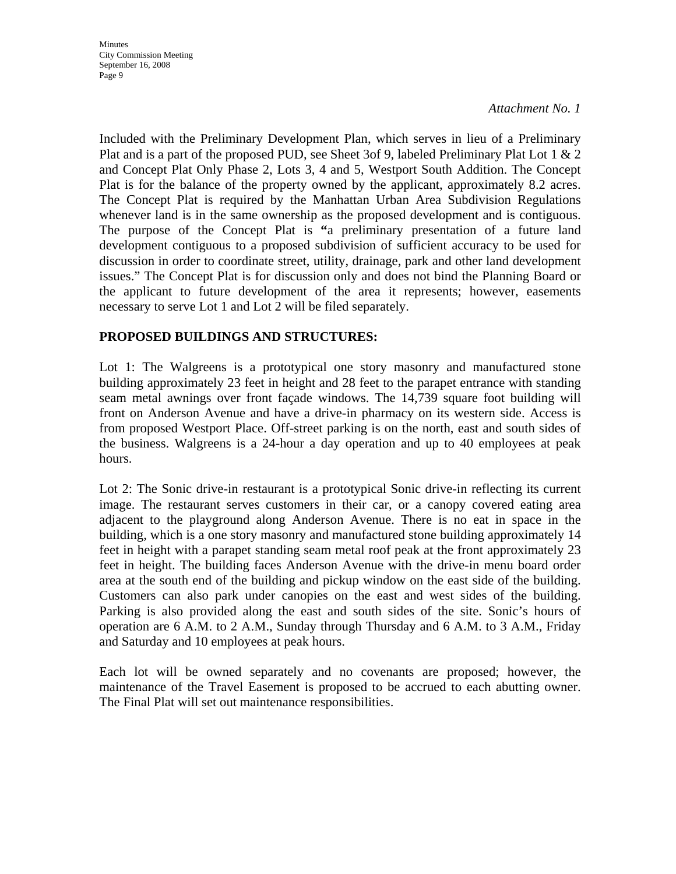**Minutes** City Commission Meeting September 16, 2008 Page 9

*Attachment No. 1*

Included with the Preliminary Development Plan, which serves in lieu of a Preliminary Plat and is a part of the proposed PUD, see Sheet 3of 9, labeled Preliminary Plat Lot 1 & 2 and Concept Plat Only Phase 2, Lots 3, 4 and 5, Westport South Addition. The Concept Plat is for the balance of the property owned by the applicant, approximately 8.2 acres. The Concept Plat is required by the Manhattan Urban Area Subdivision Regulations whenever land is in the same ownership as the proposed development and is contiguous. The purpose of the Concept Plat is **"**a preliminary presentation of a future land development contiguous to a proposed subdivision of sufficient accuracy to be used for discussion in order to coordinate street, utility, drainage, park and other land development issues." The Concept Plat is for discussion only and does not bind the Planning Board or the applicant to future development of the area it represents; however, easements necessary to serve Lot 1 and Lot 2 will be filed separately.

### **PROPOSED BUILDINGS AND STRUCTURES:**

Lot 1: The Walgreens is a prototypical one story masonry and manufactured stone building approximately 23 feet in height and 28 feet to the parapet entrance with standing seam metal awnings over front façade windows. The 14,739 square foot building will front on Anderson Avenue and have a drive-in pharmacy on its western side. Access is from proposed Westport Place. Off-street parking is on the north, east and south sides of the business. Walgreens is a 24-hour a day operation and up to 40 employees at peak hours.

Lot 2: The Sonic drive-in restaurant is a prototypical Sonic drive-in reflecting its current image. The restaurant serves customers in their car, or a canopy covered eating area adjacent to the playground along Anderson Avenue. There is no eat in space in the building, which is a one story masonry and manufactured stone building approximately 14 feet in height with a parapet standing seam metal roof peak at the front approximately 23 feet in height. The building faces Anderson Avenue with the drive-in menu board order area at the south end of the building and pickup window on the east side of the building. Customers can also park under canopies on the east and west sides of the building. Parking is also provided along the east and south sides of the site. Sonic's hours of operation are 6 A.M. to 2 A.M., Sunday through Thursday and 6 A.M. to 3 A.M., Friday and Saturday and 10 employees at peak hours.

Each lot will be owned separately and no covenants are proposed; however, the maintenance of the Travel Easement is proposed to be accrued to each abutting owner. The Final Plat will set out maintenance responsibilities.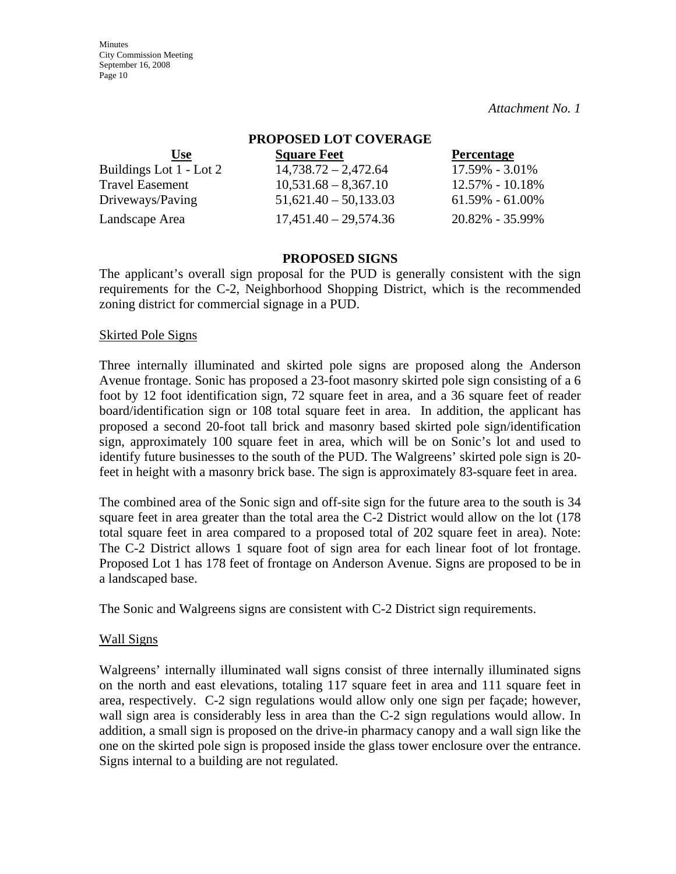**Minutes** City Commission Meeting September 16, 2008 Page 10

*Attachment No. 1*

| PROPOSED LOT COVERAGE   |                         |                     |
|-------------------------|-------------------------|---------------------|
| <b>Use</b>              | <b>Square Feet</b>      | <b>Percentage</b>   |
| Buildings Lot 1 - Lot 2 | $14,738.72 - 2,472.64$  | 17.59% - 3.01%      |
| <b>Travel Easement</b>  | $10,531.68 - 8,367.10$  | 12.57% - 10.18%     |
| Driveways/Paving        | $51,621.40 - 50,133.03$ | $61.59\% - 61.00\%$ |
| Landscape Area          | $17,451.40 - 29,574.36$ | 20.82% - 35.99%     |

#### **PROPOSED SIGNS**

The applicant's overall sign proposal for the PUD is generally consistent with the sign requirements for the C-2, Neighborhood Shopping District, which is the recommended zoning district for commercial signage in a PUD.

#### Skirted Pole Signs

Three internally illuminated and skirted pole signs are proposed along the Anderson Avenue frontage. Sonic has proposed a 23-foot masonry skirted pole sign consisting of a 6 foot by 12 foot identification sign, 72 square feet in area, and a 36 square feet of reader board/identification sign or 108 total square feet in area. In addition, the applicant has proposed a second 20-foot tall brick and masonry based skirted pole sign/identification sign, approximately 100 square feet in area, which will be on Sonic's lot and used to identify future businesses to the south of the PUD. The Walgreens' skirted pole sign is 20 feet in height with a masonry brick base. The sign is approximately 83-square feet in area.

The combined area of the Sonic sign and off-site sign for the future area to the south is 34 square feet in area greater than the total area the C-2 District would allow on the lot (178 total square feet in area compared to a proposed total of 202 square feet in area). Note: The C-2 District allows 1 square foot of sign area for each linear foot of lot frontage. Proposed Lot 1 has 178 feet of frontage on Anderson Avenue. Signs are proposed to be in a landscaped base.

The Sonic and Walgreens signs are consistent with C-2 District sign requirements.

#### Wall Signs

Walgreens' internally illuminated wall signs consist of three internally illuminated signs on the north and east elevations, totaling 117 square feet in area and 111 square feet in area, respectively. C-2 sign regulations would allow only one sign per façade; however, wall sign area is considerably less in area than the C-2 sign regulations would allow. In addition, a small sign is proposed on the drive-in pharmacy canopy and a wall sign like the one on the skirted pole sign is proposed inside the glass tower enclosure over the entrance. Signs internal to a building are not regulated.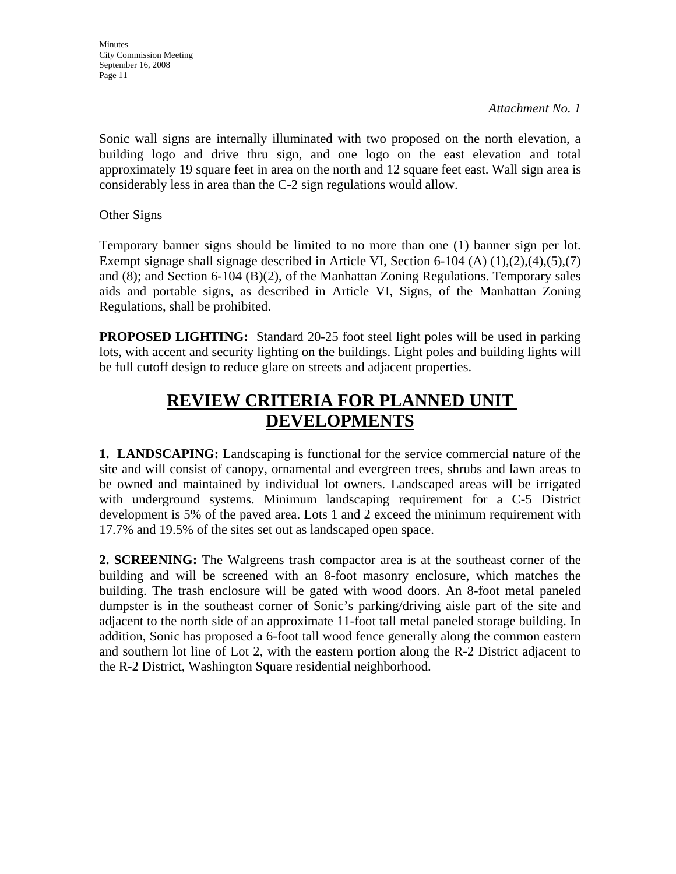Sonic wall signs are internally illuminated with two proposed on the north elevation, a building logo and drive thru sign, and one logo on the east elevation and total approximately 19 square feet in area on the north and 12 square feet east. Wall sign area is considerably less in area than the C-2 sign regulations would allow.

## Other Signs

Temporary banner signs should be limited to no more than one (1) banner sign per lot. Exempt signage shall signage described in Article VI, Section 6-104 (A) (1),(2),(4),(5),(7) and (8); and Section 6-104 (B)(2), of the Manhattan Zoning Regulations. Temporary sales aids and portable signs, as described in Article VI, Signs, of the Manhattan Zoning Regulations, shall be prohibited.

**PROPOSED LIGHTING:** Standard 20-25 foot steel light poles will be used in parking lots, with accent and security lighting on the buildings. Light poles and building lights will be full cutoff design to reduce glare on streets and adjacent properties.

# **REVIEW CRITERIA FOR PLANNED UNIT DEVELOPMENTS**

**1. LANDSCAPING:** Landscaping is functional for the service commercial nature of the site and will consist of canopy, ornamental and evergreen trees, shrubs and lawn areas to be owned and maintained by individual lot owners. Landscaped areas will be irrigated with underground systems. Minimum landscaping requirement for a C-5 District development is 5% of the paved area. Lots 1 and 2 exceed the minimum requirement with 17.7% and 19.5% of the sites set out as landscaped open space.

**2. SCREENING:** The Walgreens trash compactor area is at the southeast corner of the building and will be screened with an 8-foot masonry enclosure, which matches the building. The trash enclosure will be gated with wood doors. An 8-foot metal paneled dumpster is in the southeast corner of Sonic's parking/driving aisle part of the site and adjacent to the north side of an approximate 11-foot tall metal paneled storage building. In addition, Sonic has proposed a 6-foot tall wood fence generally along the common eastern and southern lot line of Lot 2, with the eastern portion along the R-2 District adjacent to the R-2 District, Washington Square residential neighborhood.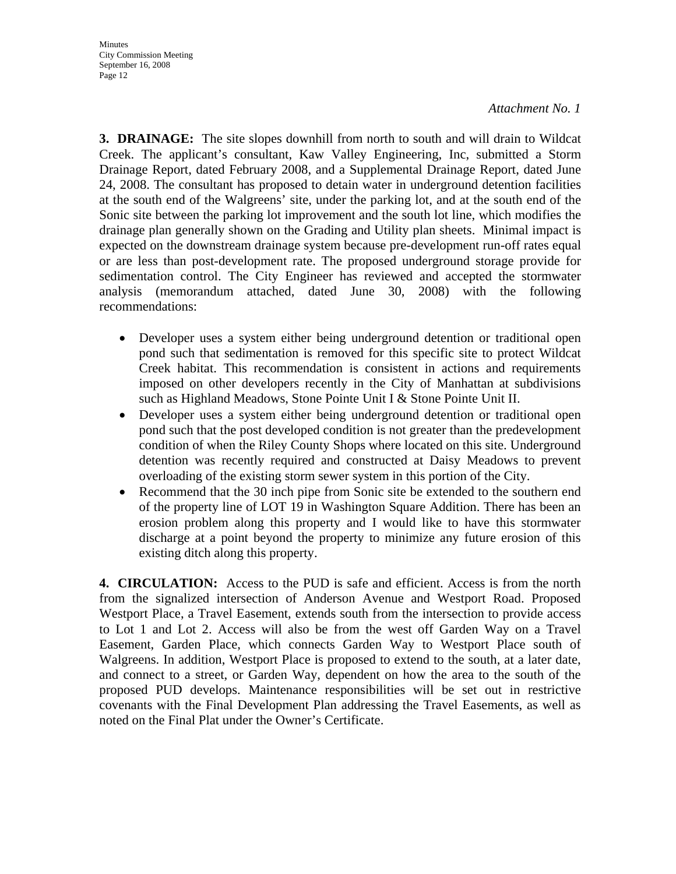**3. DRAINAGE:** The site slopes downhill from north to south and will drain to Wildcat Creek. The applicant's consultant, Kaw Valley Engineering, Inc, submitted a Storm Drainage Report, dated February 2008, and a Supplemental Drainage Report, dated June 24, 2008. The consultant has proposed to detain water in underground detention facilities at the south end of the Walgreens' site, under the parking lot, and at the south end of the Sonic site between the parking lot improvement and the south lot line, which modifies the drainage plan generally shown on the Grading and Utility plan sheets. Minimal impact is expected on the downstream drainage system because pre-development run-off rates equal or are less than post-development rate. The proposed underground storage provide for sedimentation control. The City Engineer has reviewed and accepted the stormwater analysis (memorandum attached, dated June 30, 2008) with the following recommendations:

- Developer uses a system either being underground detention or traditional open pond such that sedimentation is removed for this specific site to protect Wildcat Creek habitat. This recommendation is consistent in actions and requirements imposed on other developers recently in the City of Manhattan at subdivisions such as Highland Meadows, Stone Pointe Unit I & Stone Pointe Unit II.
- Developer uses a system either being underground detention or traditional open pond such that the post developed condition is not greater than the predevelopment condition of when the Riley County Shops where located on this site. Underground detention was recently required and constructed at Daisy Meadows to prevent overloading of the existing storm sewer system in this portion of the City.
- Recommend that the 30 inch pipe from Sonic site be extended to the southern end of the property line of LOT 19 in Washington Square Addition. There has been an erosion problem along this property and I would like to have this stormwater discharge at a point beyond the property to minimize any future erosion of this existing ditch along this property.

**4. CIRCULATION:** Access to the PUD is safe and efficient. Access is from the north from the signalized intersection of Anderson Avenue and Westport Road. Proposed Westport Place, a Travel Easement, extends south from the intersection to provide access to Lot 1 and Lot 2. Access will also be from the west off Garden Way on a Travel Easement, Garden Place, which connects Garden Way to Westport Place south of Walgreens. In addition, Westport Place is proposed to extend to the south, at a later date, and connect to a street, or Garden Way, dependent on how the area to the south of the proposed PUD develops. Maintenance responsibilities will be set out in restrictive covenants with the Final Development Plan addressing the Travel Easements, as well as noted on the Final Plat under the Owner's Certificate.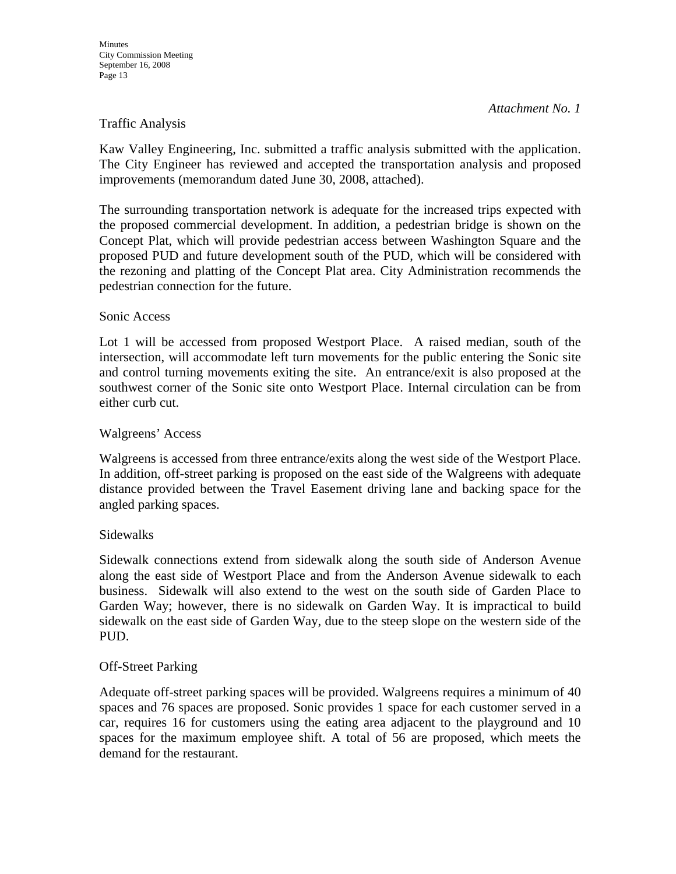#### Traffic Analysis

Kaw Valley Engineering, Inc. submitted a traffic analysis submitted with the application. The City Engineer has reviewed and accepted the transportation analysis and proposed improvements (memorandum dated June 30, 2008, attached).

The surrounding transportation network is adequate for the increased trips expected with the proposed commercial development. In addition, a pedestrian bridge is shown on the Concept Plat, which will provide pedestrian access between Washington Square and the proposed PUD and future development south of the PUD, which will be considered with the rezoning and platting of the Concept Plat area. City Administration recommends the pedestrian connection for the future.

#### Sonic Access

Lot 1 will be accessed from proposed Westport Place. A raised median, south of the intersection, will accommodate left turn movements for the public entering the Sonic site and control turning movements exiting the site. An entrance/exit is also proposed at the southwest corner of the Sonic site onto Westport Place. Internal circulation can be from either curb cut.

#### Walgreens' Access

Walgreens is accessed from three entrance/exits along the west side of the Westport Place. In addition, off-street parking is proposed on the east side of the Walgreens with adequate distance provided between the Travel Easement driving lane and backing space for the angled parking spaces.

#### **Sidewalks**

Sidewalk connections extend from sidewalk along the south side of Anderson Avenue along the east side of Westport Place and from the Anderson Avenue sidewalk to each business. Sidewalk will also extend to the west on the south side of Garden Place to Garden Way; however, there is no sidewalk on Garden Way. It is impractical to build sidewalk on the east side of Garden Way, due to the steep slope on the western side of the PUD.

#### Off-Street Parking

Adequate off-street parking spaces will be provided. Walgreens requires a minimum of 40 spaces and 76 spaces are proposed. Sonic provides 1 space for each customer served in a car, requires 16 for customers using the eating area adjacent to the playground and 10 spaces for the maximum employee shift. A total of 56 are proposed, which meets the demand for the restaurant.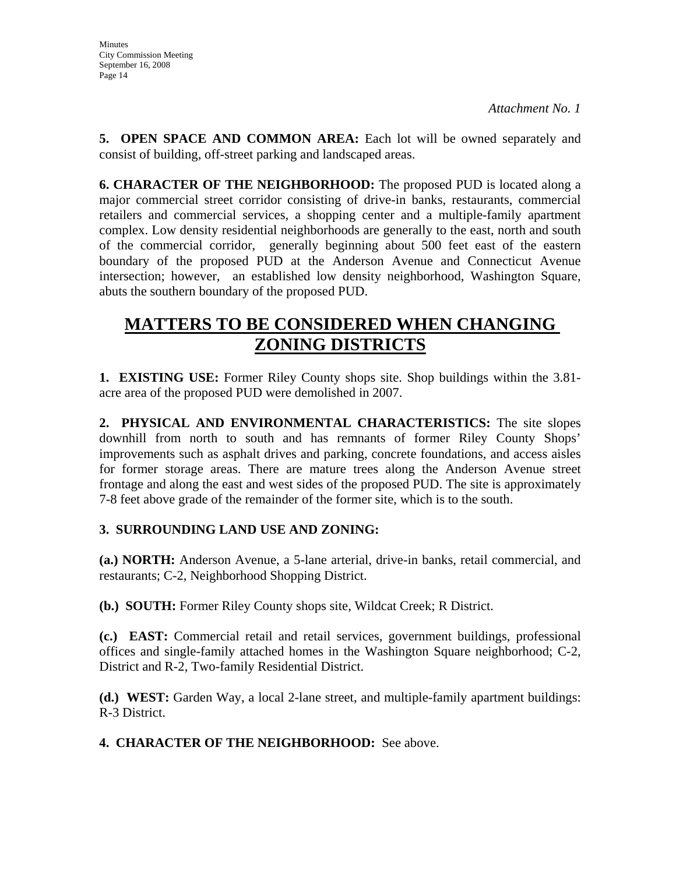**5. OPEN SPACE AND COMMON AREA:** Each lot will be owned separately and consist of building, off-street parking and landscaped areas.

**6. CHARACTER OF THE NEIGHBORHOOD:** The proposed PUD is located along a major commercial street corridor consisting of drive-in banks, restaurants, commercial retailers and commercial services, a shopping center and a multiple-family apartment complex. Low density residential neighborhoods are generally to the east, north and south of the commercial corridor, generally beginning about 500 feet east of the eastern boundary of the proposed PUD at the Anderson Avenue and Connecticut Avenue intersection; however, an established low density neighborhood, Washington Square, abuts the southern boundary of the proposed PUD.

# **MATTERS TO BE CONSIDERED WHEN CHANGING ZONING DISTRICTS**

**1. EXISTING USE:** Former Riley County shops site. Shop buildings within the 3.81 acre area of the proposed PUD were demolished in 2007.

**2. PHYSICAL AND ENVIRONMENTAL CHARACTERISTICS:** The site slopes downhill from north to south and has remnants of former Riley County Shops' improvements such as asphalt drives and parking, concrete foundations, and access aisles for former storage areas. There are mature trees along the Anderson Avenue street frontage and along the east and west sides of the proposed PUD. The site is approximately 7-8 feet above grade of the remainder of the former site, which is to the south.

## **3. SURROUNDING LAND USE AND ZONING:**

**(a.) NORTH:** Anderson Avenue, a 5-lane arterial, drive-in banks, retail commercial, and restaurants; C-2, Neighborhood Shopping District.

**(b.) SOUTH:** Former Riley County shops site, Wildcat Creek; R District.

**(c.) EAST:** Commercial retail and retail services, government buildings, professional offices and single-family attached homes in the Washington Square neighborhood; C-2, District and R-2, Two-family Residential District.

**(d.) WEST:** Garden Way, a local 2-lane street, and multiple-family apartment buildings: R-3 District.

**4. CHARACTER OF THE NEIGHBORHOOD:** See above.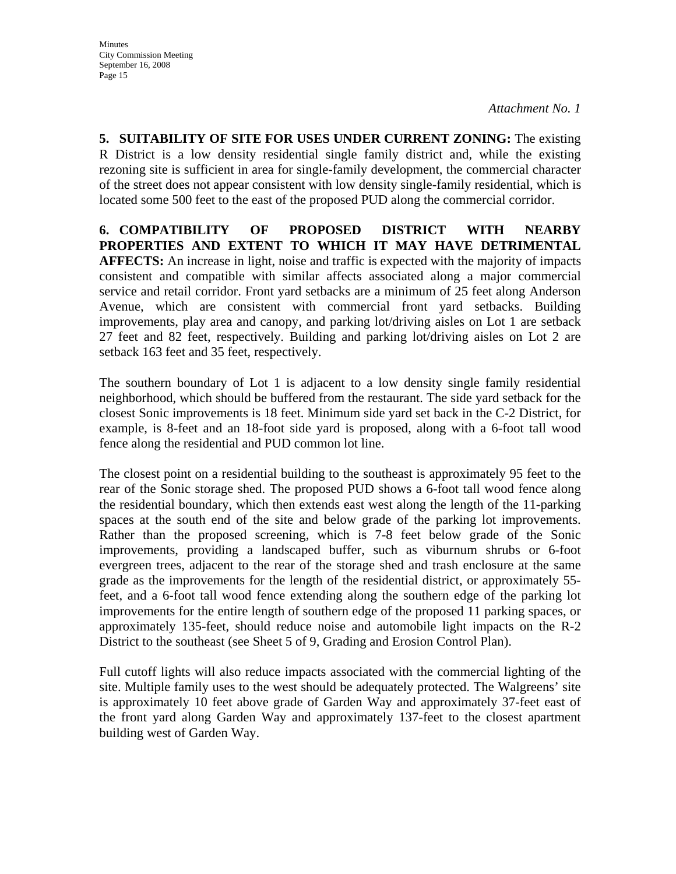**5. SUITABILITY OF SITE FOR USES UNDER CURRENT ZONING:** The existing R District is a low density residential single family district and, while the existing rezoning site is sufficient in area for single-family development, the commercial character of the street does not appear consistent with low density single-family residential, which is located some 500 feet to the east of the proposed PUD along the commercial corridor.

**6. COMPATIBILITY OF PROPOSED DISTRICT WITH NEARBY PROPERTIES AND EXTENT TO WHICH IT MAY HAVE DETRIMENTAL AFFECTS:** An increase in light, noise and traffic is expected with the majority of impacts consistent and compatible with similar affects associated along a major commercial service and retail corridor. Front yard setbacks are a minimum of 25 feet along Anderson Avenue, which are consistent with commercial front yard setbacks. Building improvements, play area and canopy, and parking lot/driving aisles on Lot 1 are setback 27 feet and 82 feet, respectively. Building and parking lot/driving aisles on Lot 2 are setback 163 feet and 35 feet, respectively.

The southern boundary of Lot 1 is adjacent to a low density single family residential neighborhood, which should be buffered from the restaurant. The side yard setback for the closest Sonic improvements is 18 feet. Minimum side yard set back in the C-2 District, for example, is 8-feet and an 18-foot side yard is proposed, along with a 6-foot tall wood fence along the residential and PUD common lot line.

The closest point on a residential building to the southeast is approximately 95 feet to the rear of the Sonic storage shed. The proposed PUD shows a 6-foot tall wood fence along the residential boundary, which then extends east west along the length of the 11-parking spaces at the south end of the site and below grade of the parking lot improvements. Rather than the proposed screening, which is 7-8 feet below grade of the Sonic improvements, providing a landscaped buffer, such as viburnum shrubs or 6-foot evergreen trees, adjacent to the rear of the storage shed and trash enclosure at the same grade as the improvements for the length of the residential district, or approximately 55 feet, and a 6-foot tall wood fence extending along the southern edge of the parking lot improvements for the entire length of southern edge of the proposed 11 parking spaces, or approximately 135-feet, should reduce noise and automobile light impacts on the R-2 District to the southeast (see Sheet 5 of 9, Grading and Erosion Control Plan).

Full cutoff lights will also reduce impacts associated with the commercial lighting of the site. Multiple family uses to the west should be adequately protected. The Walgreens' site is approximately 10 feet above grade of Garden Way and approximately 37-feet east of the front yard along Garden Way and approximately 137-feet to the closest apartment building west of Garden Way.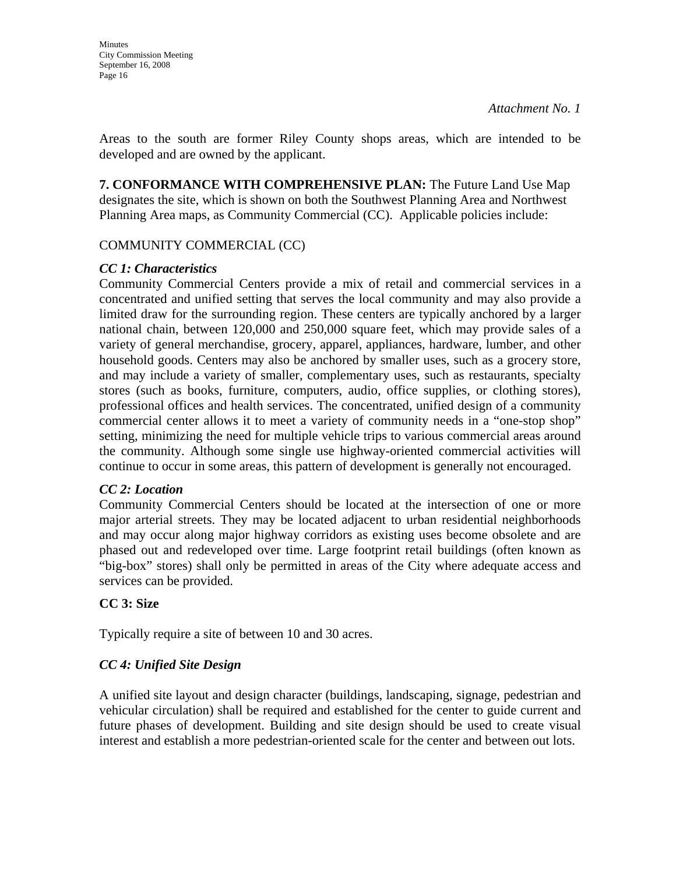Areas to the south are former Riley County shops areas, which are intended to be developed and are owned by the applicant.

**7. CONFORMANCE WITH COMPREHENSIVE PLAN:** The Future Land Use Map designates the site, which is shown on both the Southwest Planning Area and Northwest Planning Area maps, as Community Commercial (CC). Applicable policies include:

## COMMUNITY COMMERCIAL (CC)

## *CC 1: Characteristics*

Community Commercial Centers provide a mix of retail and commercial services in a concentrated and unified setting that serves the local community and may also provide a limited draw for the surrounding region. These centers are typically anchored by a larger national chain, between 120,000 and 250,000 square feet, which may provide sales of a variety of general merchandise, grocery, apparel, appliances, hardware, lumber, and other household goods. Centers may also be anchored by smaller uses, such as a grocery store, and may include a variety of smaller, complementary uses, such as restaurants, specialty stores (such as books, furniture, computers, audio, office supplies, or clothing stores), professional offices and health services. The concentrated, unified design of a community commercial center allows it to meet a variety of community needs in a "one-stop shop" setting, minimizing the need for multiple vehicle trips to various commercial areas around the community. Although some single use highway-oriented commercial activities will continue to occur in some areas, this pattern of development is generally not encouraged.

### *CC 2: Location*

Community Commercial Centers should be located at the intersection of one or more major arterial streets. They may be located adjacent to urban residential neighborhoods and may occur along major highway corridors as existing uses become obsolete and are phased out and redeveloped over time. Large footprint retail buildings (often known as "big-box" stores) shall only be permitted in areas of the City where adequate access and services can be provided.

## **CC 3: Size**

Typically require a site of between 10 and 30 acres.

## *CC 4: Unified Site Design*

A unified site layout and design character (buildings, landscaping, signage, pedestrian and vehicular circulation) shall be required and established for the center to guide current and future phases of development. Building and site design should be used to create visual interest and establish a more pedestrian-oriented scale for the center and between out lots.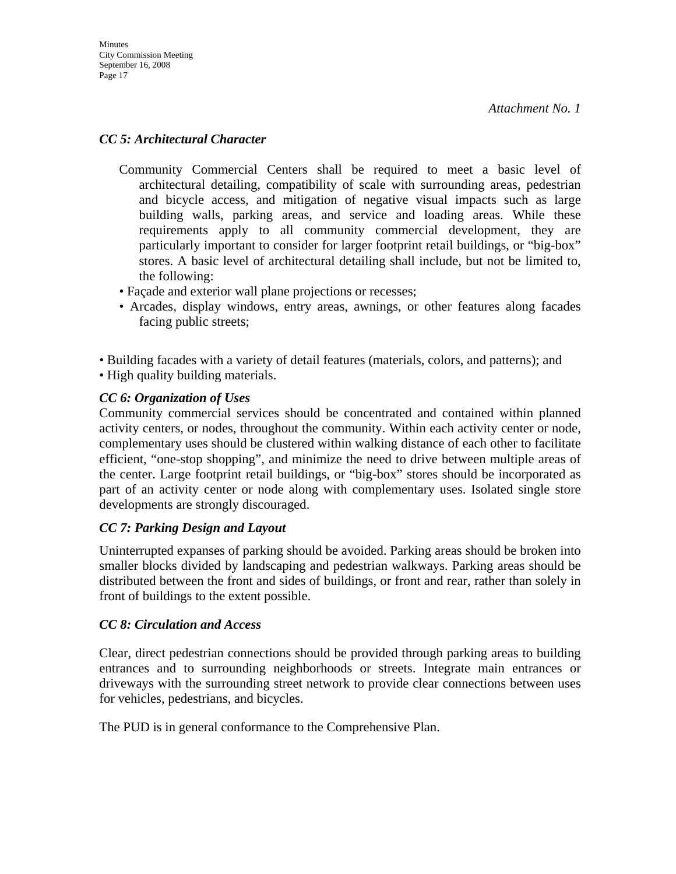### *CC 5: Architectural Character*

- Community Commercial Centers shall be required to meet a basic level of architectural detailing, compatibility of scale with surrounding areas, pedestrian and bicycle access, and mitigation of negative visual impacts such as large building walls, parking areas, and service and loading areas. While these requirements apply to all community commercial development, they are particularly important to consider for larger footprint retail buildings, or "big-box" stores. A basic level of architectural detailing shall include, but not be limited to, the following:
- Façade and exterior wall plane projections or recesses;
- Arcades, display windows, entry areas, awnings, or other features along facades facing public streets;

• Building facades with a variety of detail features (materials, colors, and patterns); and • High quality building materials.

## *CC 6: Organization of Uses*

Community commercial services should be concentrated and contained within planned activity centers, or nodes, throughout the community. Within each activity center or node, complementary uses should be clustered within walking distance of each other to facilitate efficient, "one-stop shopping", and minimize the need to drive between multiple areas of the center. Large footprint retail buildings, or "big-box" stores should be incorporated as part of an activity center or node along with complementary uses. Isolated single store developments are strongly discouraged.

### *CC 7: Parking Design and Layout*

Uninterrupted expanses of parking should be avoided. Parking areas should be broken into smaller blocks divided by landscaping and pedestrian walkways. Parking areas should be distributed between the front and sides of buildings, or front and rear, rather than solely in front of buildings to the extent possible.

### *CC 8: Circulation and Access*

Clear, direct pedestrian connections should be provided through parking areas to building entrances and to surrounding neighborhoods or streets. Integrate main entrances or driveways with the surrounding street network to provide clear connections between uses for vehicles, pedestrians, and bicycles.

The PUD is in general conformance to the Comprehensive Plan.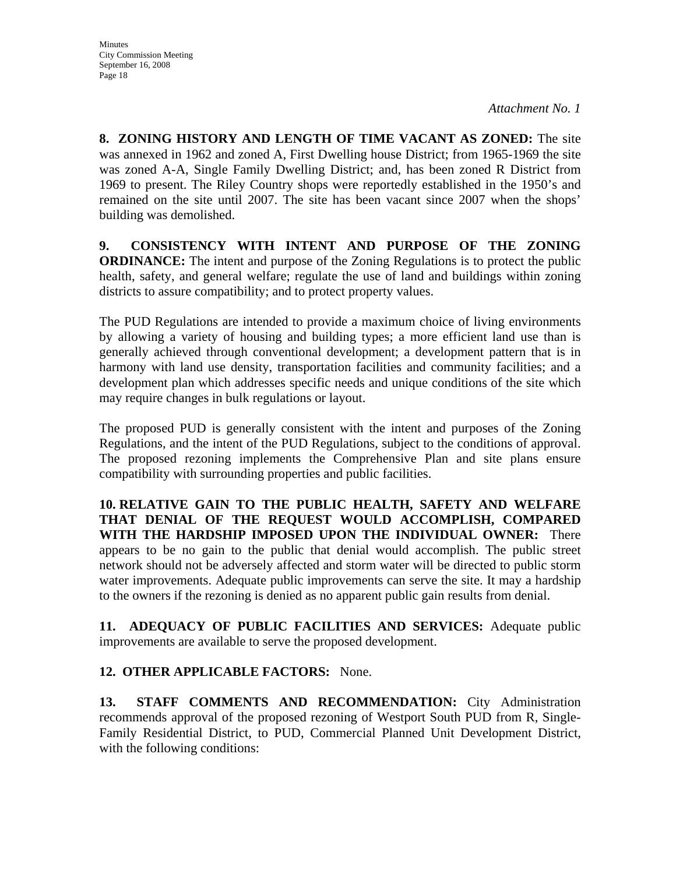**8. ZONING HISTORY AND LENGTH OF TIME VACANT AS ZONED:** The site was annexed in 1962 and zoned A, First Dwelling house District; from 1965-1969 the site was zoned A-A, Single Family Dwelling District; and, has been zoned R District from 1969 to present. The Riley Country shops were reportedly established in the 1950's and remained on the site until 2007. The site has been vacant since 2007 when the shops' building was demolished.

**9. CONSISTENCY WITH INTENT AND PURPOSE OF THE ZONING ORDINANCE:** The intent and purpose of the Zoning Regulations is to protect the public health, safety, and general welfare; regulate the use of land and buildings within zoning districts to assure compatibility; and to protect property values.

The PUD Regulations are intended to provide a maximum choice of living environments by allowing a variety of housing and building types; a more efficient land use than is generally achieved through conventional development; a development pattern that is in harmony with land use density, transportation facilities and community facilities; and a development plan which addresses specific needs and unique conditions of the site which may require changes in bulk regulations or layout.

The proposed PUD is generally consistent with the intent and purposes of the Zoning Regulations, and the intent of the PUD Regulations, subject to the conditions of approval. The proposed rezoning implements the Comprehensive Plan and site plans ensure compatibility with surrounding properties and public facilities.

**10. RELATIVE GAIN TO THE PUBLIC HEALTH, SAFETY AND WELFARE THAT DENIAL OF THE REQUEST WOULD ACCOMPLISH, COMPARED WITH THE HARDSHIP IMPOSED UPON THE INDIVIDUAL OWNER:** There appears to be no gain to the public that denial would accomplish. The public street network should not be adversely affected and storm water will be directed to public storm water improvements. Adequate public improvements can serve the site. It may a hardship to the owners if the rezoning is denied as no apparent public gain results from denial.

**11. ADEQUACY OF PUBLIC FACILITIES AND SERVICES:** Adequate public improvements are available to serve the proposed development.

## **12. OTHER APPLICABLE FACTORS:** None.

**13. STAFF COMMENTS AND RECOMMENDATION:** City Administration recommends approval of the proposed rezoning of Westport South PUD from R, Single-Family Residential District, to PUD, Commercial Planned Unit Development District, with the following conditions: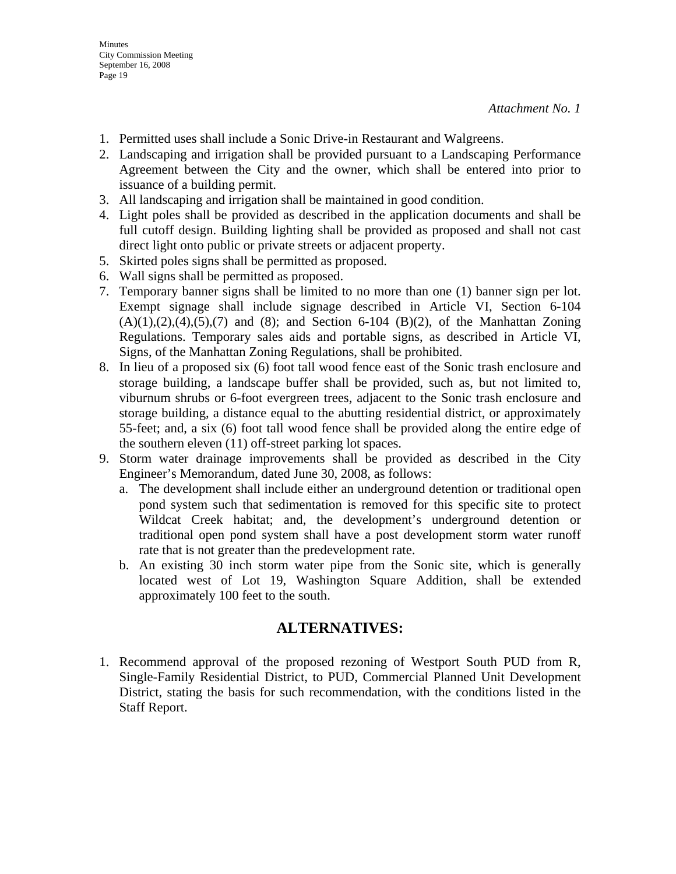- 1. Permitted uses shall include a Sonic Drive-in Restaurant and Walgreens.
- 2. Landscaping and irrigation shall be provided pursuant to a Landscaping Performance Agreement between the City and the owner, which shall be entered into prior to issuance of a building permit.
- 3. All landscaping and irrigation shall be maintained in good condition.
- 4. Light poles shall be provided as described in the application documents and shall be full cutoff design. Building lighting shall be provided as proposed and shall not cast direct light onto public or private streets or adjacent property.
- 5. Skirted poles signs shall be permitted as proposed.
- 6. Wall signs shall be permitted as proposed.
- 7. Temporary banner signs shall be limited to no more than one (1) banner sign per lot. Exempt signage shall include signage described in Article VI, Section 6-104  $(A)(1),(2),(4),(5),(7)$  and  $(8)$ ; and Section 6-104  $(B)(2)$ , of the Manhattan Zoning Regulations. Temporary sales aids and portable signs, as described in Article VI, Signs, of the Manhattan Zoning Regulations, shall be prohibited.
- 8. In lieu of a proposed six (6) foot tall wood fence east of the Sonic trash enclosure and storage building, a landscape buffer shall be provided, such as, but not limited to, viburnum shrubs or 6-foot evergreen trees, adjacent to the Sonic trash enclosure and storage building, a distance equal to the abutting residential district, or approximately 55-feet; and, a six (6) foot tall wood fence shall be provided along the entire edge of the southern eleven (11) off-street parking lot spaces.
- 9. Storm water drainage improvements shall be provided as described in the City Engineer's Memorandum, dated June 30, 2008, as follows:
	- a. The development shall include either an underground detention or traditional open pond system such that sedimentation is removed for this specific site to protect Wildcat Creek habitat; and, the development's underground detention or traditional open pond system shall have a post development storm water runoff rate that is not greater than the predevelopment rate.
	- b. An existing 30 inch storm water pipe from the Sonic site, which is generally located west of Lot 19, Washington Square Addition, shall be extended approximately 100 feet to the south.

## **ALTERNATIVES:**

1. Recommend approval of the proposed rezoning of Westport South PUD from R, Single-Family Residential District, to PUD, Commercial Planned Unit Development District, stating the basis for such recommendation, with the conditions listed in the Staff Report.